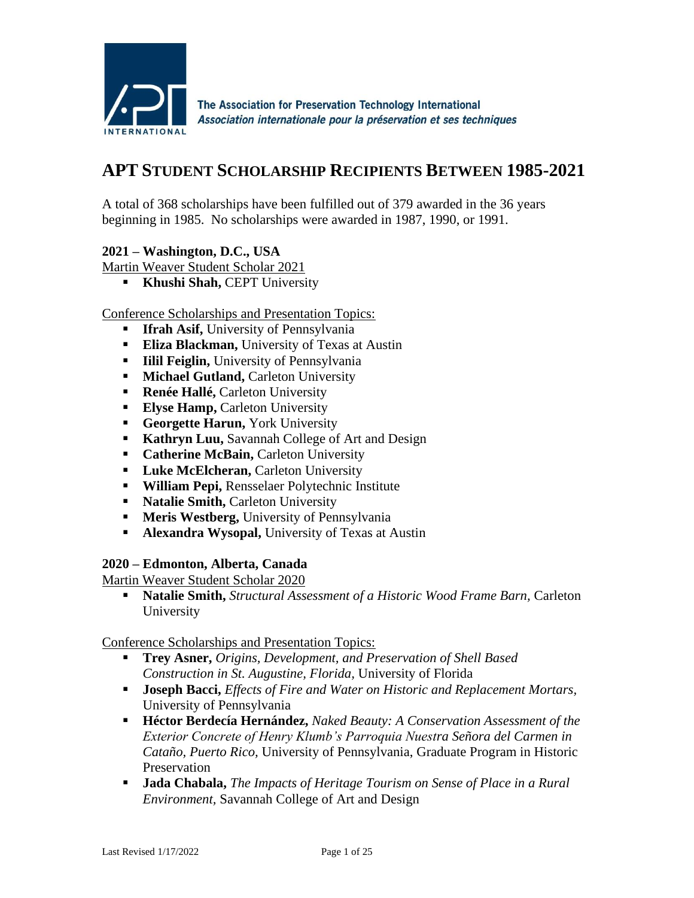

# **APT STUDENT SCHOLARSHIP RECIPIENTS BETWEEN 1985-2021**

A total of 368 scholarships have been fulfilled out of 379 awarded in the 36 years beginning in 1985. No scholarships were awarded in 1987, 1990, or 1991.

### **2021 – Washington, D.C., USA**

Martin Weaver Student Scholar 2021

**EXPLOMAGEMENT IS Khushi Shah, CEPT University** 

### Conference Scholarships and Presentation Topics:

- **Ifrah Asif, University of Pennsylvania**
- **Eliza Blackman, University of Texas at Austin**
- **EXECUTE:** III Feiglin, University of Pennsylvania
- **EXECUTE:** Michael Gutland, Carleton University
- **Renée Hallé, Carleton University**
- **Elyse Hamp, Carleton University**
- **Georgette Harun, York University**
- **Kathryn Luu, Savannah College of Art and Design**
- **Catherine McBain, Carleton University**
- **ELuke McElcheran, Carleton University**
- **William Pepi,** Rensselaer Polytechnic Institute
- **EXECUTE:** Natalie Smith, Carleton University
- **EXECUTE:** Meris Westberg, University of Pennsylvania
- **EXECUTE:** Alexandra Wysopal, University of Texas at Austin

# **2020 – Edmonton, Alberta, Canada**

Martin Weaver Student Scholar 2020

▪ **Natalie Smith,** *Structural Assessment of a Historic Wood Frame Barn,* Carleton University

- **Trey Asner,** *Origins, Development, and Preservation of Shell Based Construction in St. Augustine, Florida,* University of Florida
- **Joseph Bacci,** *Effects of Fire and Water on Historic and Replacement Mortars,* University of Pennsylvania
- **Héctor Berdecía Hernández,** *Naked Beauty: A Conservation Assessment of the Exterior Concrete of Henry Klumb's Parroquia Nuestra Señora del Carmen in Cataño, Puerto Rico,* University of Pennsylvania, Graduate Program in Historic Preservation
- **Jada Chabala,** *The Impacts of Heritage Tourism on Sense of Place in a Rural Environment,* Savannah College of Art and Design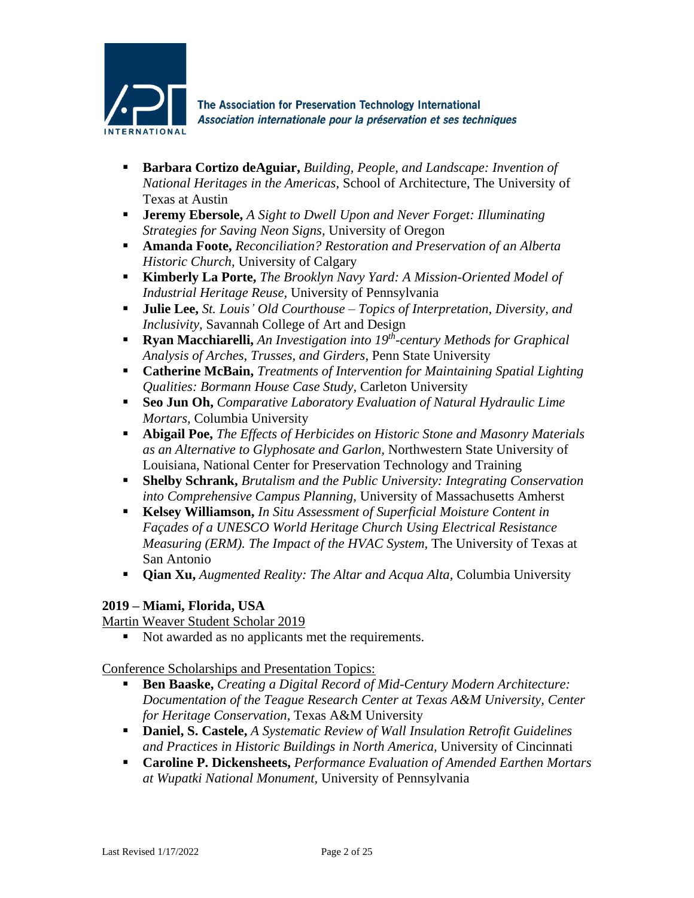

- **Barbara Cortizo deAguiar,** *Building, People, and Landscape: Invention of National Heritages in the Americas,* School of Architecture, The University of Texas at Austin
- **Jeremy Ebersole,** *A Sight to Dwell Upon and Never Forget: Illuminating Strategies for Saving Neon Signs,* University of Oregon
- **Amanda Foote,** *Reconciliation? Restoration and Preservation of an Alberta Historic Church,* University of Calgary
- **Kimberly La Porte,** *The Brooklyn Navy Yard: A Mission-Oriented Model of Industrial Heritage Reuse,* University of Pennsylvania
- **Julie Lee,** *St. Louis' Old Courthouse – Topics of Interpretation, Diversity, and Inclusivity,* Savannah College of Art and Design
- **Ryan Macchiarelli,** *An Investigation into 19<sup>th</sup>-century Methods for Graphical Analysis of Arches, Trusses, and Girders,* Penn State University
- **Catherine McBain,** *Treatments of Intervention for Maintaining Spatial Lighting Qualities: Bormann House Case Study,* Carleton University
- **Seo Jun Oh,** *Comparative Laboratory Evaluation of Natural Hydraulic Lime Mortars,* Columbia University
- **Abigail Poe,** *The Effects of Herbicides on Historic Stone and Masonry Materials as an Alternative to Glyphosate and Garlon,* Northwestern State University of Louisiana, National Center for Preservation Technology and Training
- **Shelby Schrank,** *Brutalism and the Public University: Integrating Conservation into Comprehensive Campus Planning,* University of Massachusetts Amherst
- **Kelsey Williamson,** *In Situ Assessment of Superficial Moisture Content in Façades of a UNESCO World Heritage Church Using Electrical Resistance Measuring (ERM). The Impact of the HVAC System,* The University of Texas at San Antonio
- **Qian Xu,** *Augmented Reality: The Altar and Acqua Alta,* Columbia University

# **2019 – Miami, Florida, USA**

Martin Weaver Student Scholar 2019

■ Not awarded as no applicants met the requirements.

- **Ben Baaske,** *Creating a Digital Record of Mid-Century Modern Architecture: Documentation of the Teague Research Center at Texas A&M University, Center for Heritage Conservation,* Texas A&M University
- **Daniel, S. Castele,** *A Systematic Review of Wall Insulation Retrofit Guidelines and Practices in Historic Buildings in North America,* University of Cincinnati
- **Caroline P. Dickensheets,** *Performance Evaluation of Amended Earthen Mortars at Wupatki National Monument,* University of Pennsylvania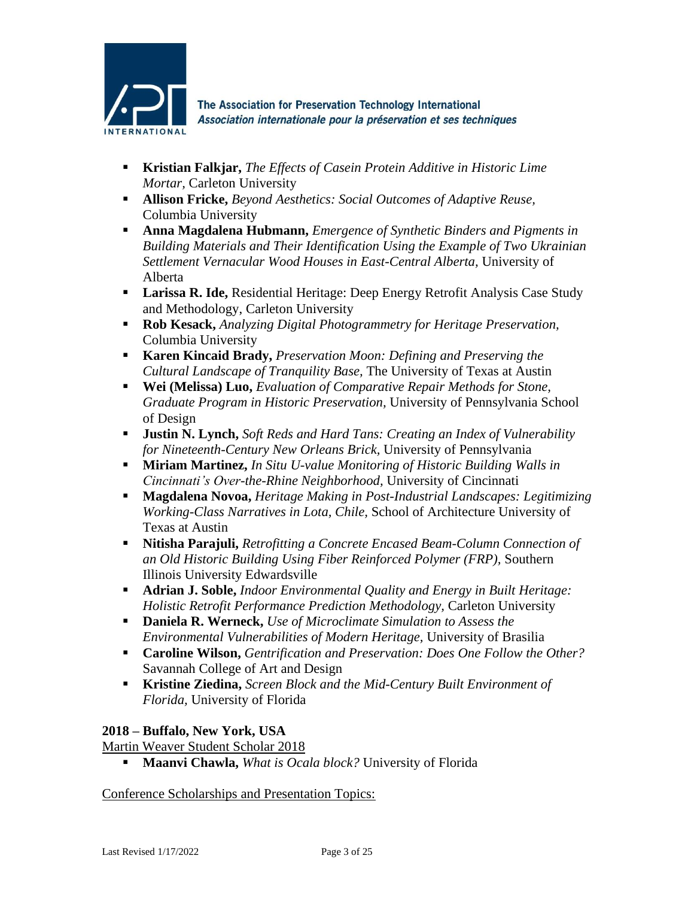

- **Kristian Falkjar,** *The Effects of Casein Protein Additive in Historic Lime Mortar,* Carleton University
- **Allison Fricke,** *Beyond Aesthetics: Social Outcomes of Adaptive Reuse,* Columbia University
- **Anna Magdalena Hubmann,** *Emergence of Synthetic Binders and Pigments in Building Materials and Their Identification Using the Example of Two Ukrainian Settlement Vernacular Wood Houses in East-Central Alberta,* University of Alberta
- **Larissa R. Ide,** Residential Heritage: Deep Energy Retrofit Analysis Case Study and Methodology, Carleton University
- **Rob Kesack,** *Analyzing Digital Photogrammetry for Heritage Preservation,* Columbia University
- **Karen Kincaid Brady,** *Preservation Moon: Defining and Preserving the Cultural Landscape of Tranquility Base,* The University of Texas at Austin
- **Wei (Melissa) Luo,** *Evaluation of Comparative Repair Methods for Stone***,** *Graduate Program in Historic Preservation,* University of Pennsylvania School of Design
- **Justin N. Lynch,** *Soft Reds and Hard Tans: Creating an Index of Vulnerability for Nineteenth-Century New Orleans Brick,* University of Pennsylvania
- **Miriam Martinez,** *In Situ U-value Monitoring of Historic Building Walls in Cincinnati's Over-the-Rhine Neighborhood,* University of Cincinnati
- **Magdalena Novoa,** *Heritage Making in Post-Industrial Landscapes: Legitimizing Working-Class Narratives in Lota, Chile,* School of Architecture University of Texas at Austin
- **Nitisha Parajuli,** *Retrofitting a Concrete Encased Beam-Column Connection of an Old Historic Building Using Fiber Reinforced Polymer (FRP),* Southern Illinois University Edwardsville
- **Adrian J. Soble,** *Indoor Environmental Quality and Energy in Built Heritage: Holistic Retrofit Performance Prediction Methodology,* Carleton University
- **Daniela R. Werneck,** *Use of Microclimate Simulation to Assess the Environmental Vulnerabilities of Modern Heritage,* University of Brasilia
- **Caroline Wilson,** *Gentrification and Preservation: Does One Follow the Other?* Savannah College of Art and Design
- **Kristine Ziedina,** *Screen Block and the Mid-Century Built Environment of Florida,* University of Florida

# **2018 – Buffalo, New York, USA**

Martin Weaver Student Scholar 2018

▪ **Maanvi Chawla,** *What is Ocala block?* University of Florida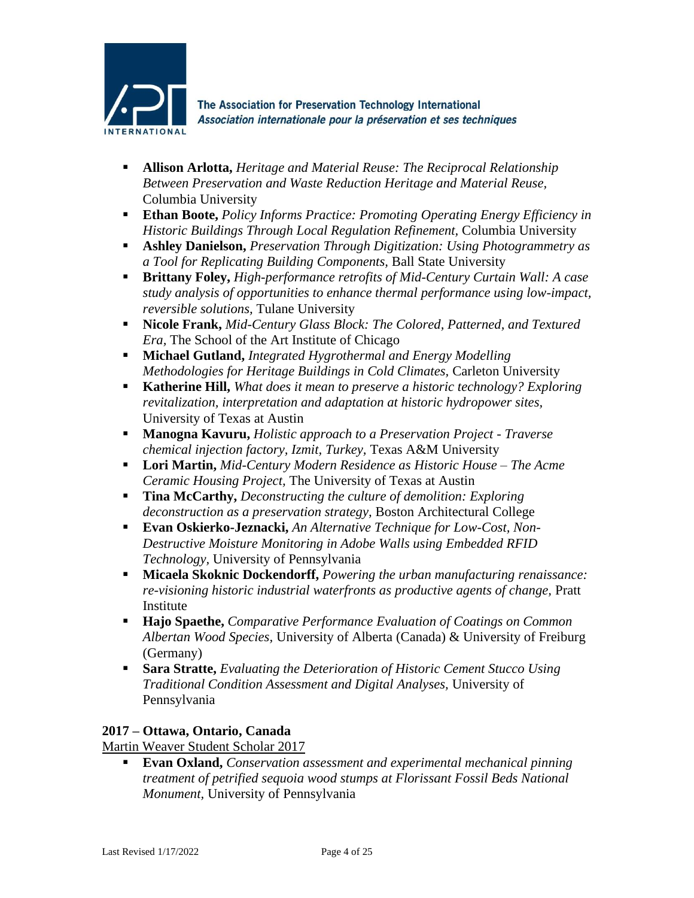

- **Allison Arlotta,** *Heritage and Material Reuse: The Reciprocal Relationship Between Preservation and Waste Reduction Heritage and Material Reuse,* Columbia University
- **Ethan Boote,** *Policy Informs Practice: Promoting Operating Energy Efficiency in Historic Buildings Through Local Regulation Refinement,* Columbia University
- **Ashley Danielson,** *Preservation Through Digitization: Using Photogrammetry as a Tool for Replicating Building Components,* Ball State University
- **Brittany Foley,** *High-performance retrofits of Mid-Century Curtain Wall: A case study analysis of opportunities to enhance thermal performance using low-impact, reversible solutions,* Tulane University
- **Nicole Frank,** *Mid-Century Glass Block: The Colored, Patterned, and Textured Era,* The School of the Art Institute of Chicago
- **Michael Gutland,** *Integrated Hygrothermal and Energy Modelling Methodologies for Heritage Buildings in Cold Climates,* Carleton University
- **Katherine Hill,** *What does it mean to preserve a historic technology? Exploring revitalization, interpretation and adaptation at historic hydropower sites,* University of Texas at Austin
- **Manogna Kavuru,** *Holistic approach to a Preservation Project - Traverse chemical injection factory, Izmit, Turkey,* Texas A&M University
- **Lori Martin,** *Mid-Century Modern Residence as Historic House – The Acme Ceramic Housing Project,* The University of Texas at Austin
- **Tina McCarthy,** *Deconstructing the culture of demolition: Exploring deconstruction as a preservation strategy,* Boston Architectural College
- **Evan Oskierko-Jeznacki,** *An Alternative Technique for Low-Cost, Non-Destructive Moisture Monitoring in Adobe Walls using Embedded RFID Technology,* University of Pennsylvania
- **Micaela Skoknic Dockendorff,** *Powering the urban manufacturing renaissance: re-visioning historic industrial waterfronts as productive agents of change,* Pratt Institute
- **Hajo Spaethe,** *Comparative Performance Evaluation of Coatings on Common Albertan Wood Species,* University of Alberta (Canada) & University of Freiburg (Germany)
- **Sara Stratte,** *Evaluating the Deterioration of Historic Cement Stucco Using Traditional Condition Assessment and Digital Analyses,* University of Pennsylvania

# **2017 – Ottawa, Ontario, Canada**

Martin Weaver Student Scholar 2017

▪ **Evan Oxland,** *Conservation assessment and experimental mechanical pinning treatment of petrified sequoia wood stumps at Florissant Fossil Beds National Monument,* University of Pennsylvania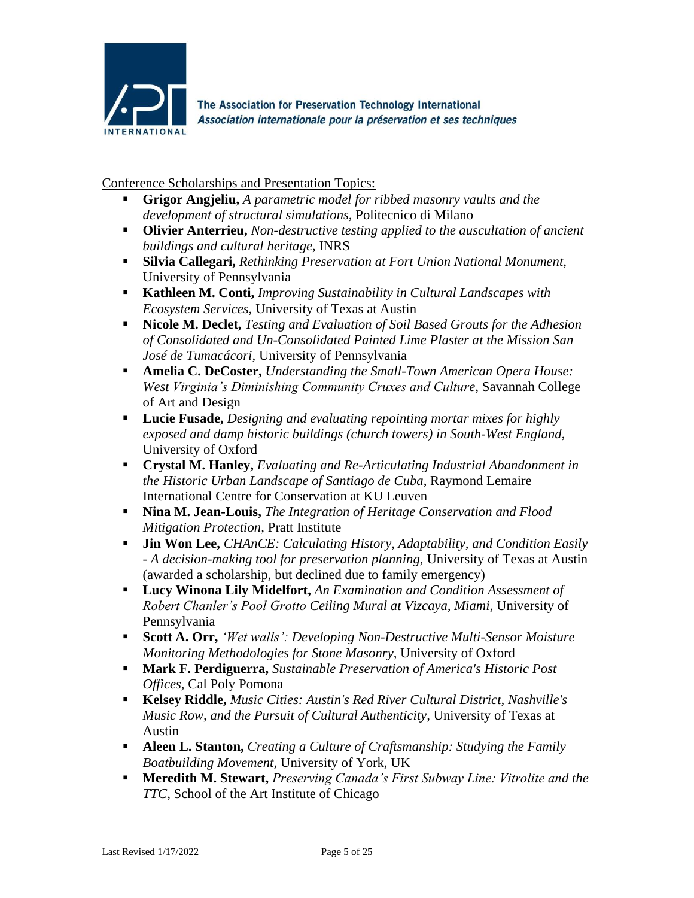

- **Grigor Angjeliu,** *A parametric model for ribbed masonry vaults and the development of structural simulations,* Politecnico di Milano
- **Olivier Anterrieu,** *Non-destructive testing applied to the auscultation of ancient buildings and cultural heritage*, INRS
- **Silvia Callegari,** *Rethinking Preservation at Fort Union National Monument,* University of Pennsylvania
- **Kathleen M. Conti,** *Improving Sustainability in Cultural Landscapes with Ecosystem Services,* University of Texas at Austin
- **Nicole M. Declet,** *Testing and Evaluation of Soil Based Grouts for the Adhesion of Consolidated and Un-Consolidated Painted Lime Plaster at the Mission San José de Tumacácori,* University of Pennsylvania
- **Amelia C. DeCoster,** *Understanding the Small-Town American Opera House: West Virginia's Diminishing Community Cruxes and Culture*, Savannah College of Art and Design
- **Lucie Fusade,** *Designing and evaluating repointing mortar mixes for highly exposed and damp historic buildings (church towers) in South-West England*, University of Oxford
- **Crystal M. Hanley,** *Evaluating and Re-Articulating Industrial Abandonment in the Historic Urban Landscape of Santiago de Cuba*, Raymond Lemaire International Centre for Conservation at KU Leuven
- **Nina M. Jean-Louis,** *The Integration of Heritage Conservation and Flood Mitigation Protection,* Pratt Institute
- **Jin Won Lee,** *CHAnCE: Calculating History, Adaptability, and Condition Easily - A decision-making tool for preservation planning,* University of Texas at Austin (awarded a scholarship, but declined due to family emergency)
- **Lucy Winona Lily Midelfort,** *An Examination and Condition Assessment of Robert Chanler's Pool Grotto Ceiling Mural at Vizcaya, Miami,* University of Pennsylvania
- **Scott A. Orr,** *'Wet walls': Developing Non-Destructive Multi-Sensor Moisture Monitoring Methodologies for Stone Masonry,* University of Oxford
- **Mark F. Perdiguerra,** *Sustainable Preservation of America's Historic Post Offices,* Cal Poly Pomona
- **Kelsey Riddle,** *Music Cities: Austin's Red River Cultural District, Nashville's Music Row, and the Pursuit of Cultural Authenticity,* University of Texas at Austin
- **Aleen L. Stanton,** *Creating a Culture of Craftsmanship: Studying the Family Boatbuilding Movement,* University of York, UK
- **Meredith M. Stewart,** *Preserving Canada's First Subway Line: Vitrolite and the TTC,* School of the Art Institute of Chicago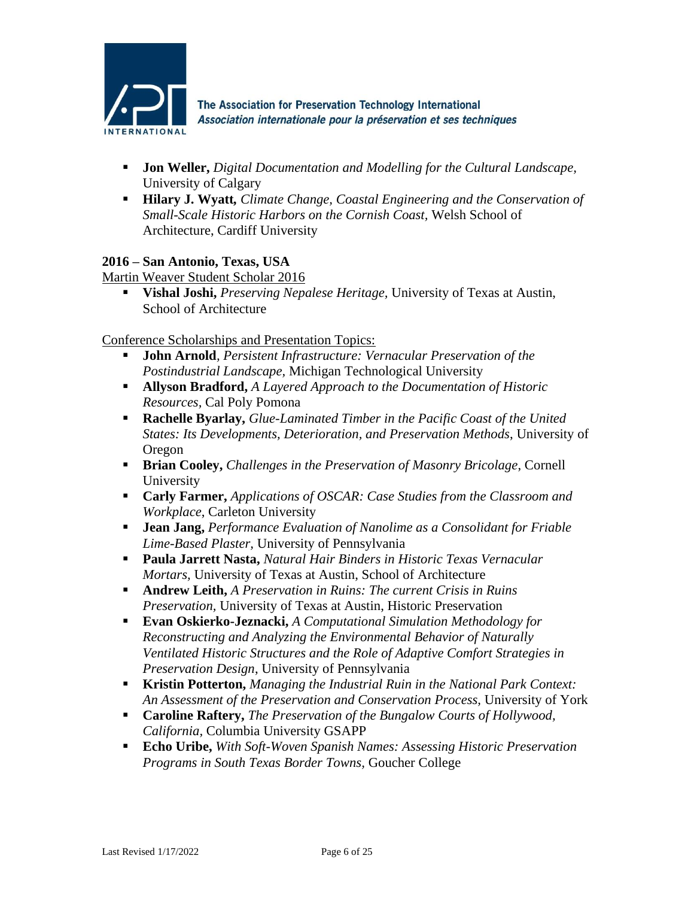

- **Jon Weller,** *Digital Documentation and Modelling for the Cultural Landscape,* University of Calgary
- **Hilary J. Wyatt***, Climate Change, Coastal Engineering and the Conservation of Small-Scale Historic Harbors on the Cornish Coast,* Welsh School of Architecture, Cardiff University

### **2016 – San Antonio, Texas, USA**

Martin Weaver Student Scholar 2016

▪ **Vishal Joshi,** *Preserving Nepalese Heritage,* University of Texas at Austin, School of Architecture

- **John Arnold***, Persistent Infrastructure: Vernacular Preservation of the Postindustrial Landscape,* Michigan Technological University
- **Allyson Bradford,** *A Layered Approach to the Documentation of Historic Resources,* Cal Poly Pomona
- **Rachelle Byarlay,** *Glue-Laminated Timber in the Pacific Coast of the United States: Its Developments, Deterioration, and Preservation Methods*, University of Oregon
- **Brian Cooley,** *Challenges in the Preservation of Masonry Bricolage*, Cornell University
- **Carly Farmer,** *Applications of OSCAR: Case Studies from the Classroom and Workplace*, Carleton University
- **Jean Jang,** *Performance Evaluation of Nanolime as a Consolidant for Friable Lime-Based Plaster,* University of Pennsylvania
- **Paula Jarrett Nasta,** *Natural Hair Binders in Historic Texas Vernacular Mortars,* University of Texas at Austin, School of Architecture
- **Andrew Leith,** *A Preservation in Ruins: The current Crisis in Ruins Preservation,* University of Texas at Austin, Historic Preservation
- **Evan Oskierko-Jeznacki,** *A Computational Simulation Methodology for Reconstructing and Analyzing the Environmental Behavior of Naturally Ventilated Historic Structures and the Role of Adaptive Comfort Strategies in Preservation Design*, University of Pennsylvania
- **Kristin Potterton,** *Managing the Industrial Ruin in the National Park Context: An Assessment of the Preservation and Conservation Process,* University of York
- **Caroline Raftery,** *The Preservation of the Bungalow Courts of Hollywood, California,* Columbia University GSAPP
- **Echo Uribe,** *With Soft-Woven Spanish Names: Assessing Historic Preservation Programs in South Texas Border Towns,* Goucher College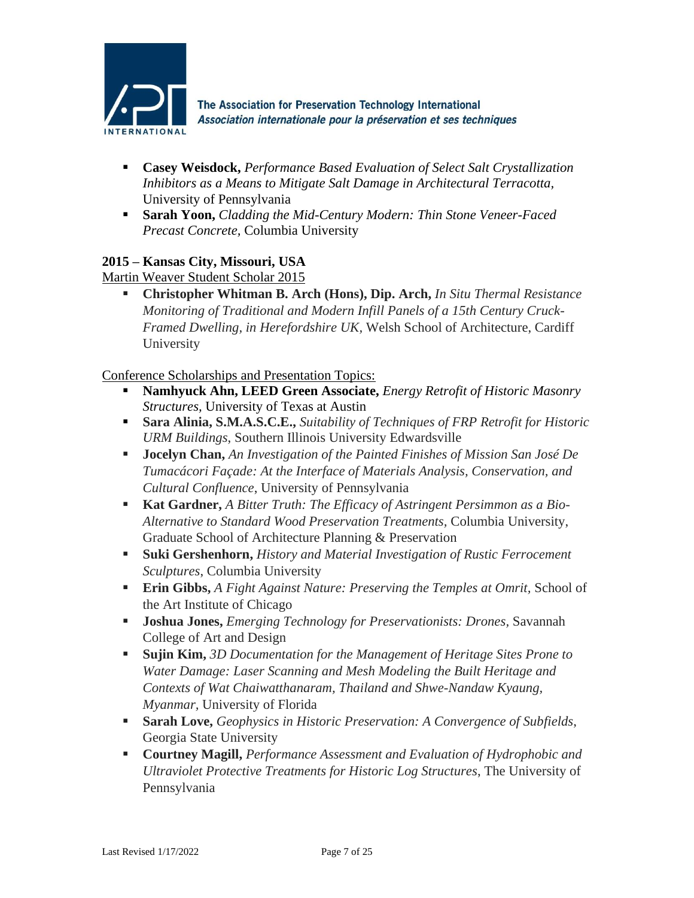

- **Casey Weisdock,** *Performance Based Evaluation of Select Salt Crystallization Inhibitors as a Means to Mitigate Salt Damage in Architectural Terracotta,* University of Pennsylvania
- **Sarah Yoon,** *Cladding the Mid-Century Modern: Thin Stone Veneer-Faced Precast Concrete,* Columbia University

### **2015 – Kansas City, Missouri, USA**

Martin Weaver Student Scholar 2015

▪ **Christopher Whitman B. Arch (Hons), Dip. Arch,** *In Situ Thermal Resistance Monitoring of Traditional and Modern Infill Panels of a 15th Century Cruck-Framed Dwelling, in Herefordshire UK,* Welsh School of Architecture, Cardiff University

- **Namhyuck Ahn, LEED Green Associate,** *Energy Retrofit of Historic Masonry Structures,* University of Texas at Austin
- **Sara Alinia, S.M.A.S.C.E.,** *Suitability of Techniques of FRP Retrofit for Historic URM Buildings*, Southern Illinois University Edwardsville
- **Jocelyn Chan,** *An Investigation of the Painted Finishes of Mission San José De Tumacácori Façade: At the Interface of Materials Analysis, Conservation, and Cultural Confluence*, University of Pennsylvania
- **Kat Gardner,** *A Bitter Truth: The Efficacy of Astringent Persimmon as a Bio-Alternative to Standard Wood Preservation Treatments,* Columbia University, Graduate School of Architecture Planning & Preservation
- **Suki Gershenhorn,** *History and Material Investigation of Rustic Ferrocement Sculptures*, Columbia University
- **Erin Gibbs,** *A Fight Against Nature: Preserving the Temples at Omrit,* School of the Art Institute of Chicago
- **Joshua Jones,** *Emerging Technology for Preservationists: Drones,* Savannah College of Art and Design
- **Sujin Kim,** *3D Documentation for the Management of Heritage Sites Prone to Water Damage: Laser Scanning and Mesh Modeling the Built Heritage and Contexts of Wat Chaiwatthanaram, Thailand and Shwe-Nandaw Kyaung, Myanmar,* University of Florida
- **Sarah Love,** *Geophysics in Historic Preservation: A Convergence of Subfields*, Georgia State University
- **Courtney Magill,** *Performance Assessment and Evaluation of Hydrophobic and Ultraviolet Protective Treatments for Historic Log Structures*, The University of Pennsylvania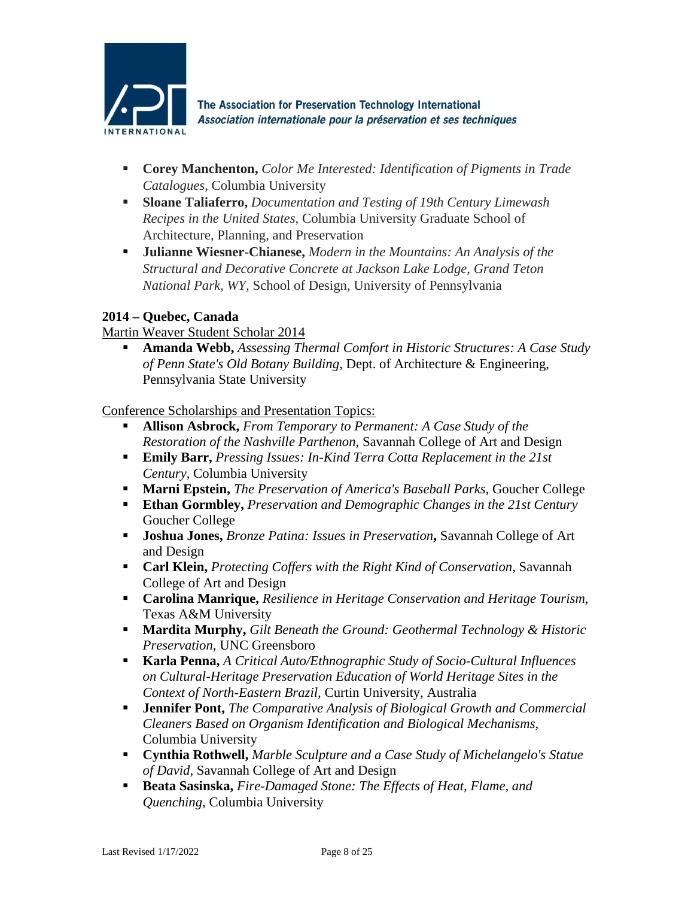

- **Corey Manchenton,** *Color Me Interested: Identification of Pigments in Trade Catalogues*, Columbia University
- **Sloane Taliaferro,** *Documentation and Testing of 19th Century Limewash Recipes in the United States*, Columbia University Graduate School of Architecture, Planning, and Preservation
- **Julianne Wiesner-Chianese,** *Modern in the Mountains: An Analysis of the Structural and Decorative Concrete at Jackson Lake Lodge, Grand Teton National Park, WY,* School of Design, University of Pennsylvania

# **2014 – Quebec, Canada**

Martin Weaver Student Scholar 2014

▪ **Amanda Webb,** *Assessing Thermal Comfort in Historic Structures: A Case Study of Penn State's Old Botany Building,* Dept. of Architecture & Engineering, Pennsylvania State University

- **Allison Asbrock,** *From Temporary to Permanent: A Case Study of the Restoration of the Nashville Parthenon,* Savannah College of Art and Design
- **Emily Barr,** *Pressing Issues: In-Kind Terra Cotta Replacement in the 21st Century,* Columbia University
- **Marni Epstein,** *The Preservation of America's Baseball Parks,* Goucher College
- **Ethan Gormbley,** *Preservation and Demographic Changes in the 21st Century* Goucher College
- **Joshua Jones,** *Bronze Patina: Issues in Preservation***,** Savannah College of Art and Design
- **Carl Klein,** *Protecting Coffers with the Right Kind of Conservation*, Savannah College of Art and Design
- **Carolina Manrique,** *Resilience in Heritage Conservation and Heritage Tourism,* Texas A&M University
- **Mardita Murphy,** *Gilt Beneath the Ground: Geothermal Technology & Historic Preservation,* UNC Greensboro
- **Karla Penna,** *A Critical Auto/Ethnographic Study of Socio-Cultural Influences on Cultural-Heritage Preservation Education of World Heritage Sites in the Context of North-Eastern Brazil,* Curtin University, Australia
- **Jennifer Pont,** *The Comparative Analysis of Biological Growth and Commercial Cleaners Based on Organism Identification and Biological Mechanisms,* Columbia University
- **Cynthia Rothwell,** *Marble Sculpture and a Case Study of Michelangelo's Statue of David,* Savannah College of Art and Design
- **Beata Sasinska,** *Fire-Damaged Stone: The Effects of Heat, Flame, and Quenching,* Columbia University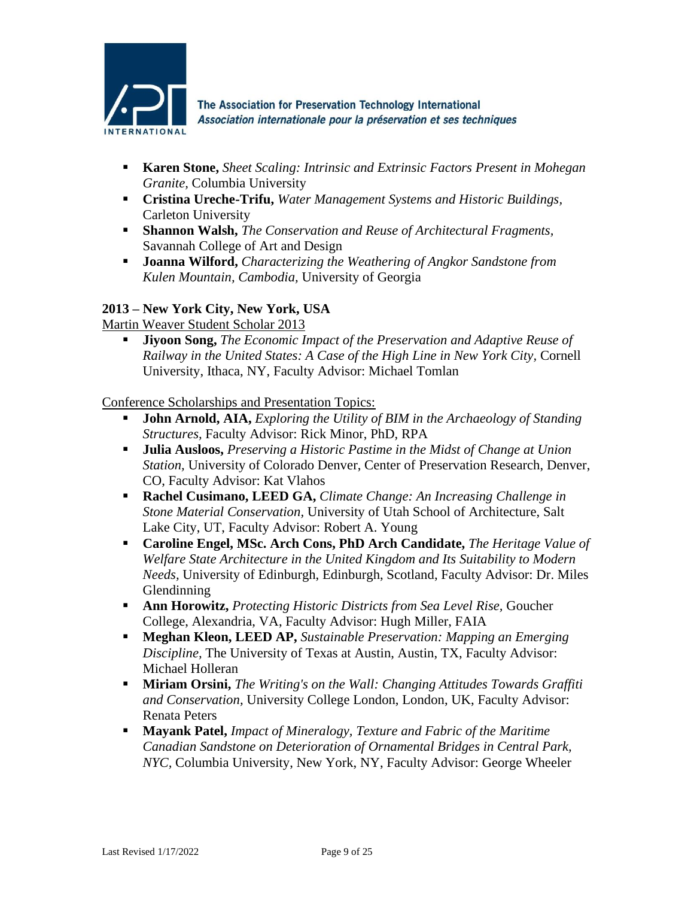

- **Karen Stone,** *Sheet Scaling: Intrinsic and Extrinsic Factors Present in Mohegan Granite,* Columbia University
- **Cristina Ureche-Trifu,** *Water Management Systems and Historic Buildings,* Carleton University
- **Shannon Walsh,** *The Conservation and Reuse of Architectural Fragments,*  Savannah College of Art and Design
- **Joanna Wilford,** *Characterizing the Weathering of Angkor Sandstone from Kulen Mountain, Cambodia,* University of Georgia

### **2013 – New York City, New York, USA**

Martin Weaver Student Scholar 2013

▪ **Jiyoon Song,** *The Economic Impact of the Preservation and Adaptive Reuse of Railway in the United States: A Case of the High Line in New York City,* Cornell University, Ithaca, NY, Faculty Advisor: Michael Tomlan

- **John Arnold, AIA,** *Exploring the Utility of BIM in the Archaeology of Standing Structures,* Faculty Advisor: Rick Minor, PhD, RPA
- **Julia Ausloos,** *Preserving a Historic Pastime in the Midst of Change at Union Station,* University of Colorado Denver, Center of Preservation Research, Denver, CO, Faculty Advisor: Kat Vlahos
- **Rachel Cusimano, LEED GA,** *Climate Change: An Increasing Challenge in Stone Material Conservation,* University of Utah School of Architecture, Salt Lake City, UT, Faculty Advisor: Robert A. Young
- **Caroline Engel, MSc. Arch Cons, PhD Arch Candidate,** *The Heritage Value of Welfare State Architecture in the United Kingdom and Its Suitability to Modern Needs,* University of Edinburgh, Edinburgh, Scotland, Faculty Advisor: Dr. Miles Glendinning
- **Ann Horowitz,** *Protecting Historic Districts from Sea Level Rise,* Goucher College, Alexandria, VA, Faculty Advisor: Hugh Miller, FAIA
- **Meghan Kleon, LEED AP,** *Sustainable Preservation: Mapping an Emerging Discipline,* The University of Texas at Austin, Austin, TX, Faculty Advisor: Michael Holleran
- **Miriam Orsini,** *The Writing's on the Wall: Changing Attitudes Towards Graffiti and Conservation,* University College London, London, UK, Faculty Advisor: Renata Peters
- **Mayank Patel,** *Impact of Mineralogy, Texture and Fabric of the Maritime Canadian Sandstone on Deterioration of Ornamental Bridges in Central Park, NYC,* Columbia University, New York, NY, Faculty Advisor: George Wheeler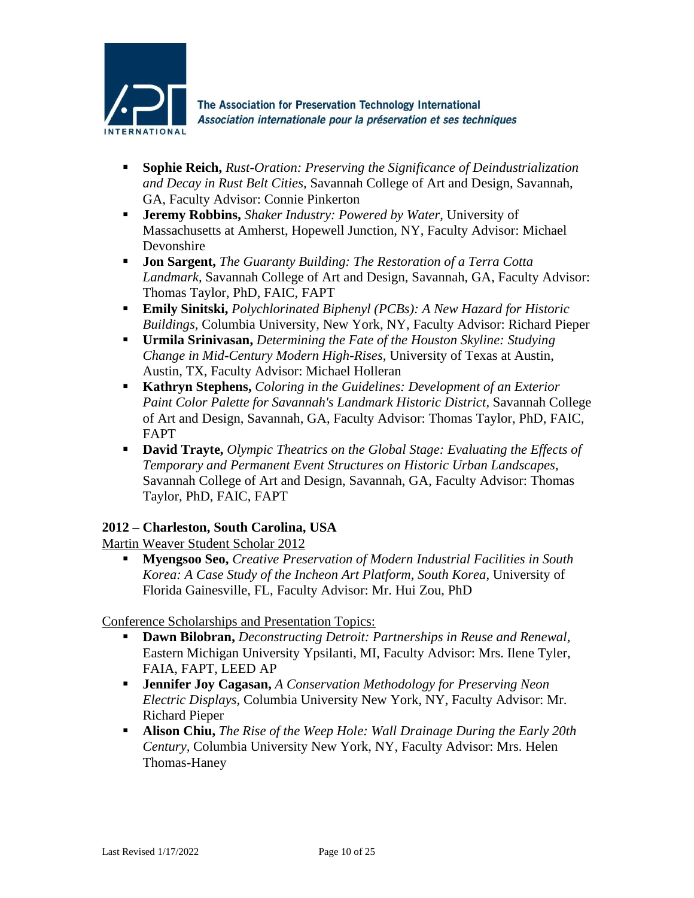

- **Sophie Reich,** *Rust-Oration: Preserving the Significance of Deindustrialization and Decay in Rust Belt Cities,* Savannah College of Art and Design, Savannah, GA, Faculty Advisor: Connie Pinkerton
- **Jeremy Robbins,** *Shaker Industry: Powered by Water,* University of Massachusetts at Amherst, Hopewell Junction, NY, Faculty Advisor: Michael Devonshire
- **Jon Sargent,** *The Guaranty Building: The Restoration of a Terra Cotta Landmark,* Savannah College of Art and Design, Savannah, GA, Faculty Advisor: Thomas Taylor, PhD, FAIC, FAPT
- **Emily Sinitski,** *Polychlorinated Biphenyl (PCBs): A New Hazard for Historic Buildings,* Columbia University, New York, NY, Faculty Advisor: Richard Pieper
- **Urmila Srinivasan,** *Determining the Fate of the Houston Skyline: Studying Change in Mid-Century Modern High-Rises,* University of Texas at Austin, Austin, TX, Faculty Advisor: Michael Holleran
- **Kathryn Stephens,** *Coloring in the Guidelines: Development of an Exterior Paint Color Palette for Savannah's Landmark Historic District,* Savannah College of Art and Design, Savannah, GA, Faculty Advisor: Thomas Taylor, PhD, FAIC, FAPT
- **David Trayte,** *Olympic Theatrics on the Global Stage: Evaluating the Effects of Temporary and Permanent Event Structures on Historic Urban Landscapes,*  Savannah College of Art and Design, Savannah, GA, Faculty Advisor: Thomas Taylor, PhD, FAIC, FAPT

# **2012 – Charleston, South Carolina, USA**

Martin Weaver Student Scholar 2012

▪ **Myengsoo Seo,** *Creative Preservation of Modern Industrial Facilities in South Korea: A Case Study of the Incheon Art Platform, South Korea*, University of Florida Gainesville, FL, Faculty Advisor: Mr. Hui Zou, PhD

- **Dawn Bilobran,** *Deconstructing Detroit: Partnerships in Reuse and Renewal,*  Eastern Michigan University Ypsilanti, MI, Faculty Advisor: Mrs. Ilene Tyler, FAIA, FAPT, LEED AP
- **Jennifer Joy Cagasan,** *A Conservation Methodology for Preserving Neon Electric Displays,* Columbia University New York, NY, Faculty Advisor: Mr. Richard Pieper
- **Alison Chiu,** *The Rise of the Weep Hole: Wall Drainage During the Early 20th Century,* Columbia University New York, NY, Faculty Advisor: Mrs. Helen Thomas-Haney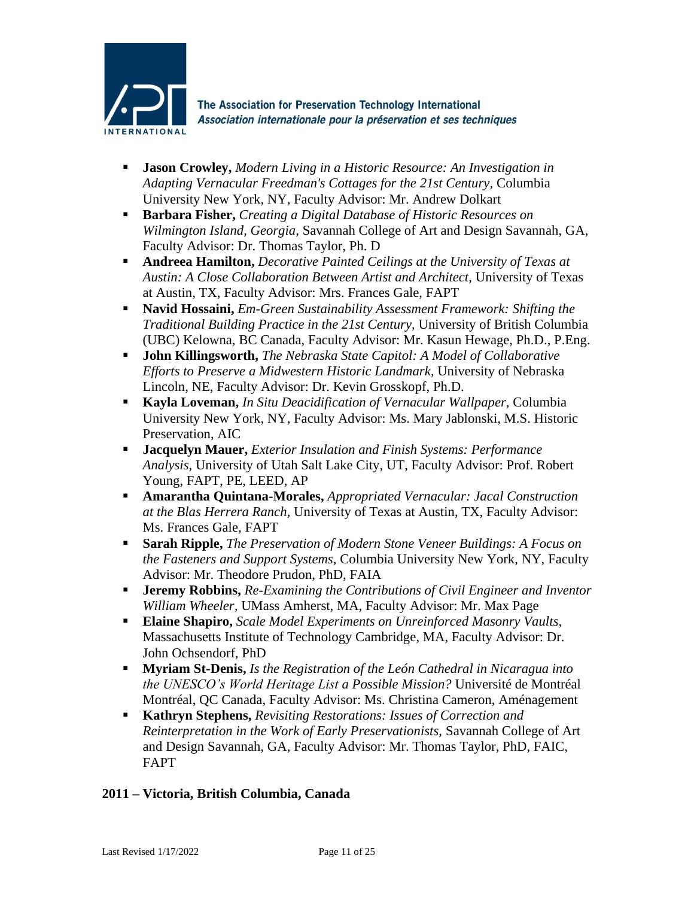

- **Jason Crowley,** *Modern Living in a Historic Resource: An Investigation in Adapting Vernacular Freedman's Cottages for the 21st Century,* Columbia University New York, NY, Faculty Advisor: Mr. Andrew Dolkart
- **Barbara Fisher,** *Creating a Digital Database of Historic Resources on Wilmington Island, Georgia,* Savannah College of Art and Design Savannah, GA, Faculty Advisor: Dr. Thomas Taylor, Ph. D
- **Andreea Hamilton,** *Decorative Painted Ceilings at the University of Texas at Austin: A Close Collaboration Between Artist and Architect,* University of Texas at Austin, TX, Faculty Advisor: Mrs. Frances Gale, FAPT
- **Navid Hossaini,** *Em-Green Sustainability Assessment Framework: Shifting the Traditional Building Practice in the 21st Century,* University of British Columbia (UBC) Kelowna, BC Canada, Faculty Advisor: Mr. Kasun Hewage, Ph.D., P.Eng.
- **John Killingsworth,** *The Nebraska State Capitol: A Model of Collaborative Efforts to Preserve a Midwestern Historic Landmark,* University of Nebraska Lincoln, NE, Faculty Advisor: Dr. Kevin Grosskopf, Ph.D.
- **Kayla Loveman,** *In Situ Deacidification of Vernacular Wallpaper,* Columbia University New York, NY, Faculty Advisor: Ms. Mary Jablonski, M.S. Historic Preservation, AIC
- **Jacquelyn Mauer,** *Exterior Insulation and Finish Systems: Performance Analysis,* University of Utah Salt Lake City, UT, Faculty Advisor: Prof. Robert Young, FAPT, PE, LEED, AP
- **Amarantha Quintana-Morales,** *Appropriated Vernacular: Jacal Construction at the Blas Herrera Ranch,* University of Texas at Austin, TX, Faculty Advisor: Ms. Frances Gale, FAPT
- **Sarah Ripple,** *The Preservation of Modern Stone Veneer Buildings: A Focus on the Fasteners and Support Systems,* Columbia University New York, NY, Faculty Advisor: Mr. Theodore Prudon, PhD, FAIA
- **Jeremy Robbins,** *Re-Examining the Contributions of Civil Engineer and Inventor William Wheeler,* UMass Amherst, MA, Faculty Advisor: Mr. Max Page
- **Elaine Shapiro,** *Scale Model Experiments on Unreinforced Masonry Vaults,* Massachusetts Institute of Technology Cambridge, MA, Faculty Advisor: Dr. John Ochsendorf, PhD
- **Myriam St-Denis,** *Is the Registration of the León Cathedral in Nicaragua into the UNESCO's World Heritage List a Possible Mission?* Université de Montréal Montréal, QC Canada, Faculty Advisor: Ms. Christina Cameron, Aménagement
- **Kathryn Stephens,** *Revisiting Restorations: Issues of Correction and Reinterpretation in the Work of Early Preservationists,* Savannah College of Art and Design Savannah, GA, Faculty Advisor: Mr. Thomas Taylor, PhD, FAIC, FAPT

# **2011 – Victoria, British Columbia, Canada**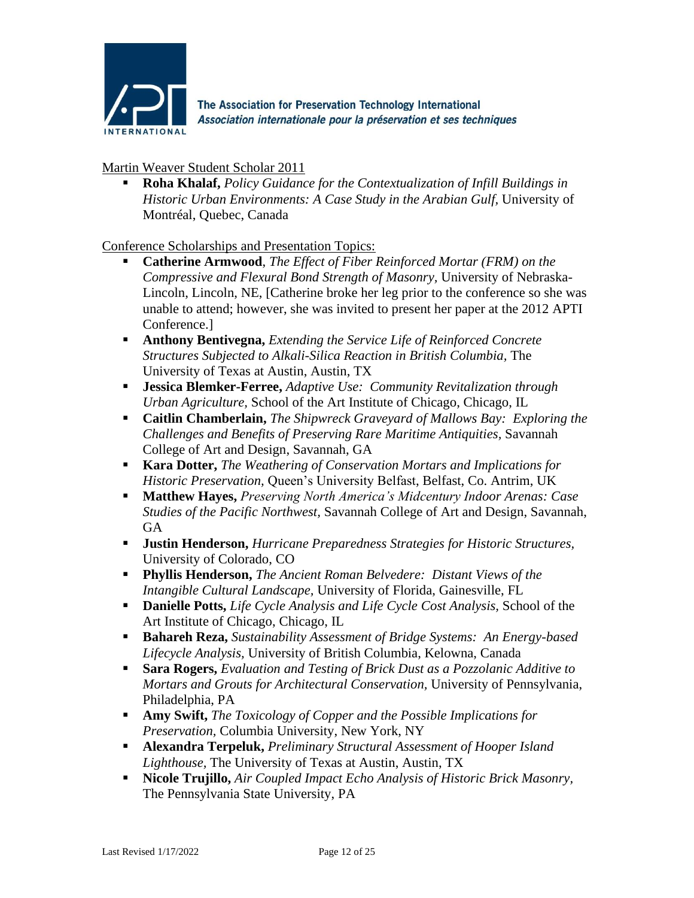

Martin Weaver Student Scholar 2011

**Roha Khalaf,** *Policy Guidance for the Contextualization of Infill Buildings in Historic Urban Environments: A Case Study in the Arabian Gulf,* University of Montréal, Quebec, Canada

- **Catherine Armwood**, *The Effect of Fiber Reinforced Mortar (FRM) on the Compressive and Flexural Bond Strength of Masonry,* University of Nebraska-Lincoln, Lincoln, NE, [Catherine broke her leg prior to the conference so she was unable to attend; however, she was invited to present her paper at the 2012 APTI Conference.]
- **Anthony Bentivegna,** *Extending the Service Life of Reinforced Concrete Structures Subjected to Alkali-Silica Reaction in British Columbia,* The University of Texas at Austin, Austin, TX
- **Jessica Blemker-Ferree,** *Adaptive Use: Community Revitalization through Urban Agriculture,* School of the Art Institute of Chicago, Chicago, IL
- **Caitlin Chamberlain,** *The Shipwreck Graveyard of Mallows Bay: Exploring the Challenges and Benefits of Preserving Rare Maritime Antiquities,* Savannah College of Art and Design, Savannah, GA
- **Kara Dotter,** *The Weathering of Conservation Mortars and Implications for Historic Preservation,* Queen's University Belfast, Belfast, Co. Antrim, UK
- **Matthew Hayes,** *Preserving North America's Midcentury Indoor Arenas: Case Studies of the Pacific Northwest,* Savannah College of Art and Design, Savannah, GA
- **Justin Henderson,** *Hurricane Preparedness Strategies for Historic Structures,* University of Colorado, CO
- **Phyllis Henderson,** *The Ancient Roman Belvedere: Distant Views of the Intangible Cultural Landscape,* University of Florida, Gainesville, FL
- **Danielle Potts,** *Life Cycle Analysis and Life Cycle Cost Analysis*, School of the Art Institute of Chicago, Chicago, IL
- **Bahareh Reza,** *Sustainability Assessment of Bridge Systems: An Energy-based Lifecycle Analysis,* University of British Columbia, Kelowna, Canada
- **Sara Rogers,** *Evaluation and Testing of Brick Dust as a Pozzolanic Additive to Mortars and Grouts for Architectural Conservation,* University of Pennsylvania, Philadelphia, PA
- **Amy Swift,** *The Toxicology of Copper and the Possible Implications for Preservation,* Columbia University, New York, NY
- **Alexandra Terpeluk,** *Preliminary Structural Assessment of Hooper Island Lighthouse,* The University of Texas at Austin, Austin, TX
- **Nicole Trujillo,** *Air Coupled Impact Echo Analysis of Historic Brick Masonry,* The Pennsylvania State University, PA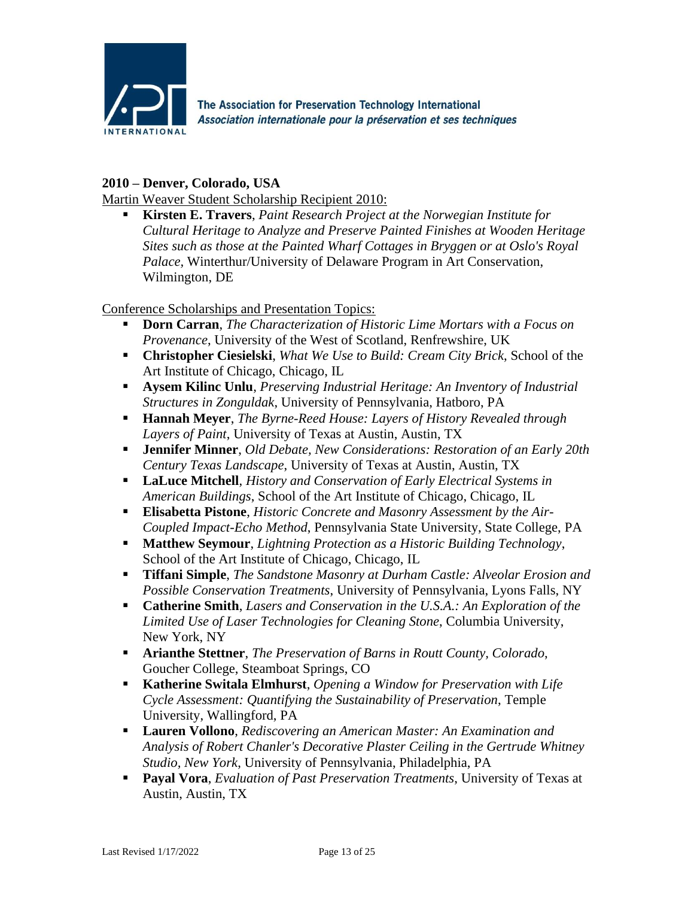

### **2010 – Denver, Colorado, USA**

Martin Weaver Student Scholarship Recipient 2010:

**Kirsten E. Travers**, *Paint Research Project at the Norwegian Institute for Cultural Heritage to Analyze and Preserve Painted Finishes at Wooden Heritage Sites such as those at the Painted Wharf Cottages in Bryggen or at Oslo's Royal Palace,* Winterthur/University of Delaware Program in Art Conservation, Wilmington, DE

- **Dorn Carran**, *The Characterization of Historic Lime Mortars with a Focus on Provenance*, University of the West of Scotland, Renfrewshire, UK
- **Christopher Ciesielski**, *What We Use to Build: Cream City Brick*, School of the Art Institute of Chicago, Chicago, IL
- **Aysem Kilinc Unlu**, *Preserving Industrial Heritage: An Inventory of Industrial Structures in Zonguldak*, University of Pennsylvania, Hatboro, PA
- **Hannah Meyer**, *The Byrne-Reed House: Layers of History Revealed through Layers of Paint*, University of Texas at Austin, Austin, TX
- **Jennifer Minner**, *Old Debate, New Considerations: Restoration of an Early 20th Century Texas Landscape*, University of Texas at Austin, Austin, TX
- **LaLuce Mitchell**, *History and Conservation of Early Electrical Systems in American Buildings*, School of the Art Institute of Chicago, Chicago, IL
- **Elisabetta Pistone**, *Historic Concrete and Masonry Assessment by the Air-Coupled Impact-Echo Method*, Pennsylvania State University, State College, PA
- **Matthew Seymour**, *Lightning Protection as a Historic Building Technology*, School of the Art Institute of Chicago, Chicago, IL
- **Tiffani Simple**, *The Sandstone Masonry at Durham Castle: Alveolar Erosion and Possible Conservation Treatments*, University of Pennsylvania, Lyons Falls, NY
- **Catherine Smith**, *Lasers and Conservation in the U.S.A.: An Exploration of the Limited Use of Laser Technologies for Cleaning Stone*, Columbia University, New York, NY
- **Arianthe Stettner**, *The Preservation of Barns in Routt County, Colorado*, Goucher College, Steamboat Springs, CO
- **Katherine Switala Elmhurst**, *Opening a Window for Preservation with Life Cycle Assessment: Quantifying the Sustainability of Preservation*, Temple University, Wallingford, PA
- **Lauren Vollono**, *Rediscovering an American Master: An Examination and Analysis of Robert Chanler's Decorative Plaster Ceiling in the Gertrude Whitney Studio, New York*, University of Pennsylvania, Philadelphia, PA
- **Payal Vora**, *Evaluation of Past Preservation Treatments*, University of Texas at Austin, Austin, TX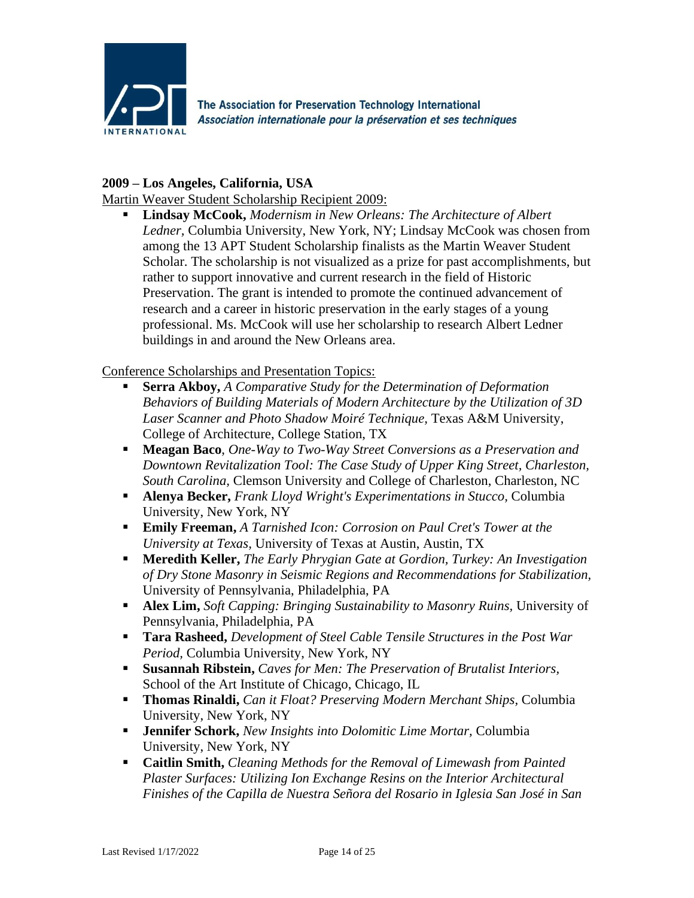

### **2009 – Los Angeles, California, USA**

Martin Weaver Student Scholarship Recipient 2009:

**Lindsay McCook,** *Modernism in New Orleans: The Architecture of Albert Ledner,* Columbia University, New York, NY; Lindsay McCook was chosen from among the 13 APT Student Scholarship finalists as the Martin Weaver Student Scholar. The scholarship is not visualized as a prize for past accomplishments, but rather to support innovative and current research in the field of Historic Preservation. The grant is intended to promote the continued advancement of research and a career in historic preservation in the early stages of a young professional. Ms. McCook will use her scholarship to research Albert Ledner buildings in and around the New Orleans area.

- **Serra Akboy,** *A Comparative Study for the Determination of Deformation Behaviors of Building Materials of Modern Architecture by the Utilization of 3D Laser Scanner and Photo Shadow Moiré Technique,* Texas A&M University, College of Architecture, College Station, TX
- **Meagan Baco**, *One-Way to Two-Way Street Conversions as a Preservation and Downtown Revitalization Tool: The Case Study of Upper King Street, Charleston, South Carolina,* Clemson University and College of Charleston, Charleston, NC
- **Alenya Becker,** *Frank Lloyd Wright's Experimentations in Stucco,* Columbia University, New York, NY
- **Emily Freeman,** *A Tarnished Icon: Corrosion on Paul Cret's Tower at the University at Texas,* University of Texas at Austin, Austin, TX
- **Meredith Keller,** *The Early Phrygian Gate at Gordion, Turkey: An Investigation of Dry Stone Masonry in Seismic Regions and Recommendations for Stabilization,*  University of Pennsylvania, Philadelphia, PA
- **Alex Lim,** *Soft Capping: Bringing Sustainability to Masonry Ruins,* University of Pennsylvania, Philadelphia, PA
- **Tara Rasheed,** *Development of Steel Cable Tensile Structures in the Post War Period,* Columbia University, New York, NY
- **Susannah Ribstein,** *Caves for Men: The Preservation of Brutalist Interiors,*  School of the Art Institute of Chicago, Chicago, IL
- **Thomas Rinaldi,** *Can it Float? Preserving Modern Merchant Ships,* Columbia University, New York, NY
- **Jennifer Schork,** *New Insights into Dolomitic Lime Mortar,* Columbia University, New York, NY
- **Caitlin Smith,** *Cleaning Methods for the Removal of Limewash from Painted Plaster Surfaces: Utilizing Ion Exchange Resins on the Interior Architectural Finishes of the Capilla de Nuestra Señora del Rosario in Iglesia San José in San*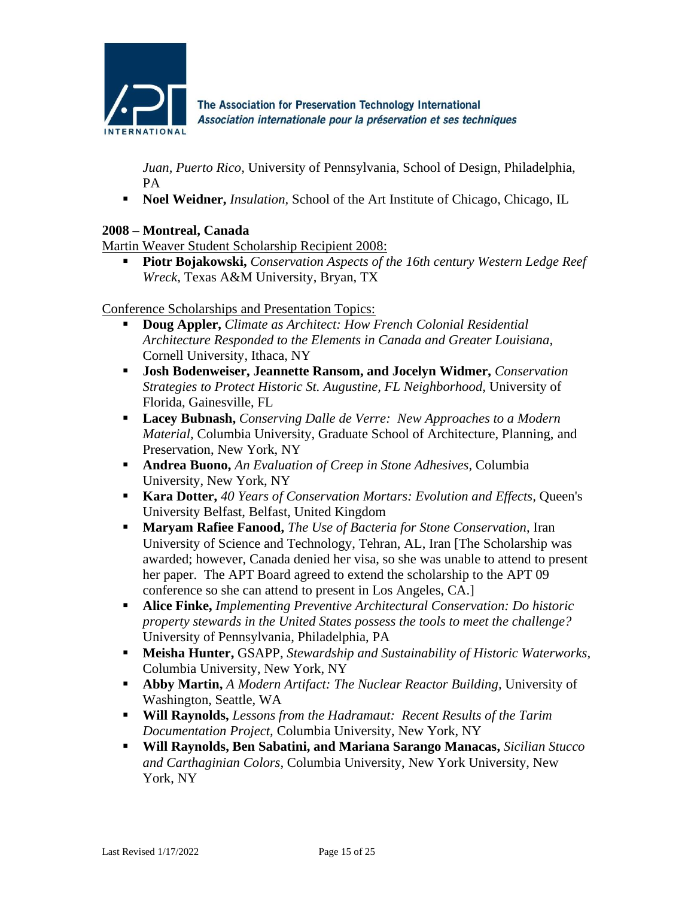

*Juan, Puerto Rico,* University of Pennsylvania, School of Design, Philadelphia, PA

■ **Noel Weidner,** *Insulation*, School of the Art Institute of Chicago, Chicago, IL

### **2008 – Montreal, Canada**

Martin Weaver Student Scholarship Recipient 2008:

▪ **Piotr Bojakowski,** *Conservation Aspects of the 16th century Western Ledge Reef Wreck,* Texas A&M University, Bryan, TX

- **Doug Appler,** *Climate as Architect: How French Colonial Residential Architecture Responded to the Elements in Canada and Greater Louisiana,* Cornell University, Ithaca, NY
- **Josh Bodenweiser, Jeannette Ransom, and Jocelyn Widmer,** *Conservation Strategies to Protect Historic St. Augustine, FL Neighborhood,* University of Florida, Gainesville, FL
- **Lacey Bubnash,** *Conserving Dalle de Verre: New Approaches to a Modern Material,* Columbia University, Graduate School of Architecture, Planning, and Preservation, New York, NY
- **Andrea Buono,** *An Evaluation of Creep in Stone Adhesives*, Columbia University, New York, NY
- **Kara Dotter,** *40 Years of Conservation Mortars: Evolution and Effects,* Queen's University Belfast, Belfast, United Kingdom
- **Maryam Rafiee Fanood,** *The Use of Bacteria for Stone Conservation*, Iran University of Science and Technology, Tehran, AL, Iran [The Scholarship was awarded; however, Canada denied her visa, so she was unable to attend to present her paper. The APT Board agreed to extend the scholarship to the APT 09 conference so she can attend to present in Los Angeles, CA.]
- **Alice Finke,** *Implementing Preventive Architectural Conservation: Do historic property stewards in the United States possess the tools to meet the challenge?* University of Pennsylvania, Philadelphia, PA
- **Meisha Hunter,** GSAPP, *Stewardship and Sustainability of Historic Waterworks,* Columbia University, New York, NY
- **Abby Martin,** *A Modern Artifact: The Nuclear Reactor Building,* University of Washington, Seattle, WA
- **Will Raynolds,** *Lessons from the Hadramaut: Recent Results of the Tarim Documentation Project,* Columbia University, New York, NY
- **Will Raynolds, Ben Sabatini, and Mariana Sarango Manacas,** *Sicilian Stucco and Carthaginian Colors,* Columbia University, New York University, New York, NY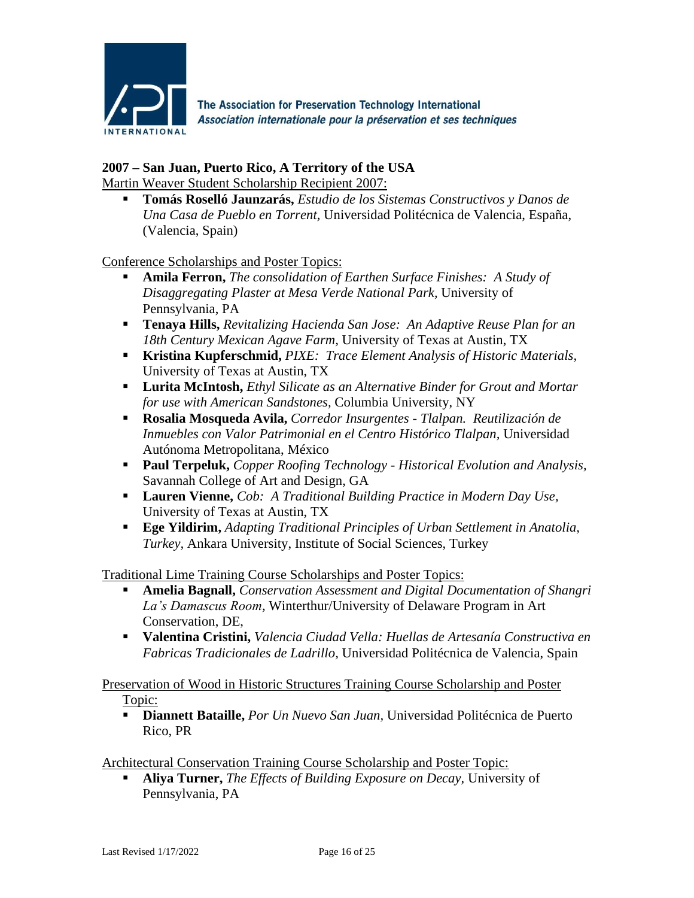

# **2007 – San Juan, Puerto Rico, A Territory of the USA**

Martin Weaver Student Scholarship Recipient 2007:

▪ **Tomás Roselló Jaunzarás,** *Estudio de los Sistemas Constructivos y Danos de Una Casa de Pueblo en Torrent,* Universidad Politécnica de Valencia, España, (Valencia, Spain)

Conference Scholarships and Poster Topics:

- **Amila Ferron,** *The consolidation of Earthen Surface Finishes: A Study of Disaggregating Plaster at Mesa Verde National Park,* University of Pennsylvania, PA
- **Tenaya Hills,** *Revitalizing Hacienda San Jose: An Adaptive Reuse Plan for an 18th Century Mexican Agave Farm,* University of Texas at Austin, TX
- **Kristina Kupferschmid,** *PIXE: Trace Element Analysis of Historic Materials,* University of Texas at Austin, TX
- **Lurita McIntosh,** *Ethyl Silicate as an Alternative Binder for Grout and Mortar for use with American Sandstones,* Columbia University, NY
- **Rosalia Mosqueda Avila,** *Corredor Insurgentes - Tlalpan. Reutilización de Inmuebles con Valor Patrimonial en el Centro Histórico Tlalpan,* Universidad Autónoma Metropolitana, México
- **Paul Terpeluk,** *Copper Roofing Technology - Historical Evolution and Analysis,* Savannah College of Art and Design, GA
- **Lauren Vienne,** *Cob: A Traditional Building Practice in Modern Day Use,* University of Texas at Austin, TX
- **Ege Yildirim,** *Adapting Traditional Principles of Urban Settlement in Anatolia, Turkey,* Ankara University, Institute of Social Sciences, Turkey

Traditional Lime Training Course Scholarships and Poster Topics:

- **Amelia Bagnall,** *Conservation Assessment and Digital Documentation of Shangri La's Damascus Room,* Winterthur/University of Delaware Program in Art Conservation, DE,
- **Valentina Cristini,** *Valencia Ciudad Vella: Huellas de Artesanía Constructiva en Fabricas Tradicionales de Ladrillo,* Universidad Politécnica de Valencia, Spain

Preservation of Wood in Historic Structures Training Course Scholarship and Poster Topic:

▪ **Diannett Bataille,** *Por Un Nuevo San Juan,* Universidad Politécnica de Puerto Rico, PR

Architectural Conservation Training Course Scholarship and Poster Topic:

▪ **Aliya Turner,** *The Effects of Building Exposure on Decay,* University of Pennsylvania, PA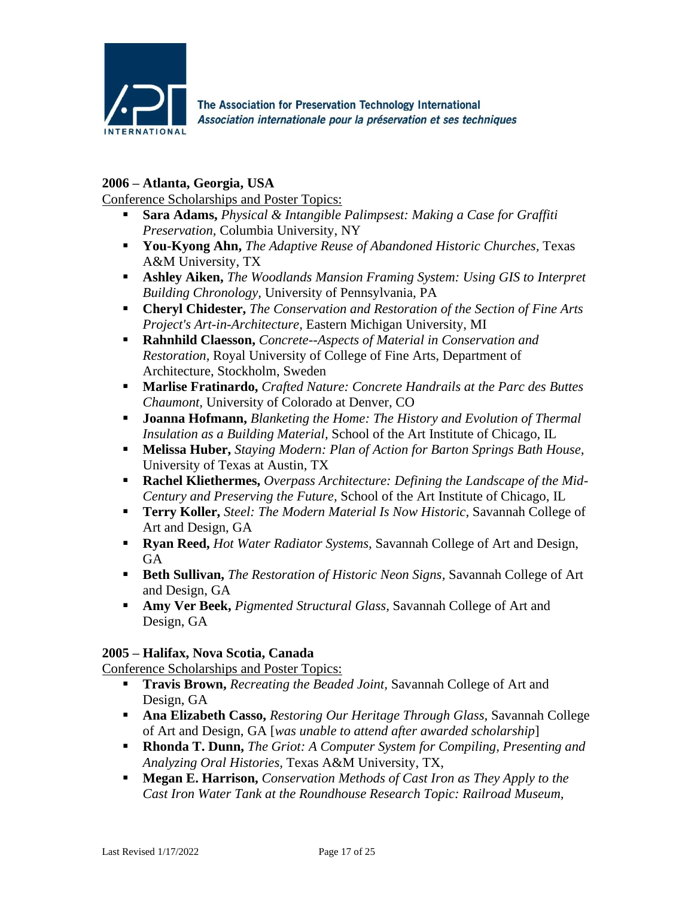

### **2006 – Atlanta, Georgia, USA**

Conference Scholarships and Poster Topics:

- **Sara Adams,** *Physical & Intangible Palimpsest: Making a Case for Graffiti Preservation,* Columbia University, NY
- **You-Kyong Ahn,** *The Adaptive Reuse of Abandoned Historic Churches,* Texas A&M University, TX
- **Ashley Aiken,** *The Woodlands Mansion Framing System: Using GIS to Interpret Building Chronology,* University of Pennsylvania, PA
- **Cheryl Chidester,** *The Conservation and Restoration of the Section of Fine Arts Project's Art-in-Architecture,* Eastern Michigan University, MI
- **Rahnhild Claesson,** *Concrete--Aspects of Material in Conservation and Restoration,* Royal University of College of Fine Arts, Department of Architecture, Stockholm, Sweden
- **Marlise Fratinardo,** *Crafted Nature: Concrete Handrails at the Parc des Buttes Chaumont,* University of Colorado at Denver, CO
- **Joanna Hofmann,** *Blanketing the Home: The History and Evolution of Thermal Insulation as a Building Material,* School of the Art Institute of Chicago, IL
- **Melissa Huber,** *Staying Modern: Plan of Action for Barton Springs Bath House,* University of Texas at Austin, TX
- **Rachel Kliethermes,** *Overpass Architecture: Defining the Landscape of the Mid-Century and Preserving the Future,* School of the Art Institute of Chicago, IL
- **Terry Koller,** *Steel: The Modern Material Is Now Historic,* Savannah College of Art and Design, GA
- **Ryan Reed,** *Hot Water Radiator Systems,* Savannah College of Art and Design, GA
- **Example 1 Beth Sullivan,** *The Restoration of Historic Neon Signs*, Savannah College of Art and Design, GA
- **Amy Ver Beek,** *Pigmented Structural Glass*, Savannah College of Art and Design, GA

### **2005 – Halifax, Nova Scotia, Canada**

Conference Scholarships and Poster Topics:

- **Travis Brown,** *Recreating the Beaded Joint,* Savannah College of Art and Design, GA
- **Ana Elizabeth Casso,** *Restoring Our Heritage Through Glass,* Savannah College of Art and Design, GA [*was unable to attend after awarded scholarship*]
- **Rhonda T. Dunn,** *The Griot: A Computer System for Compiling, Presenting and Analyzing Oral Histories,* Texas A&M University, TX,
- **Megan E. Harrison,** *Conservation Methods of Cast Iron as They Apply to the Cast Iron Water Tank at the Roundhouse Research Topic: Railroad Museum,*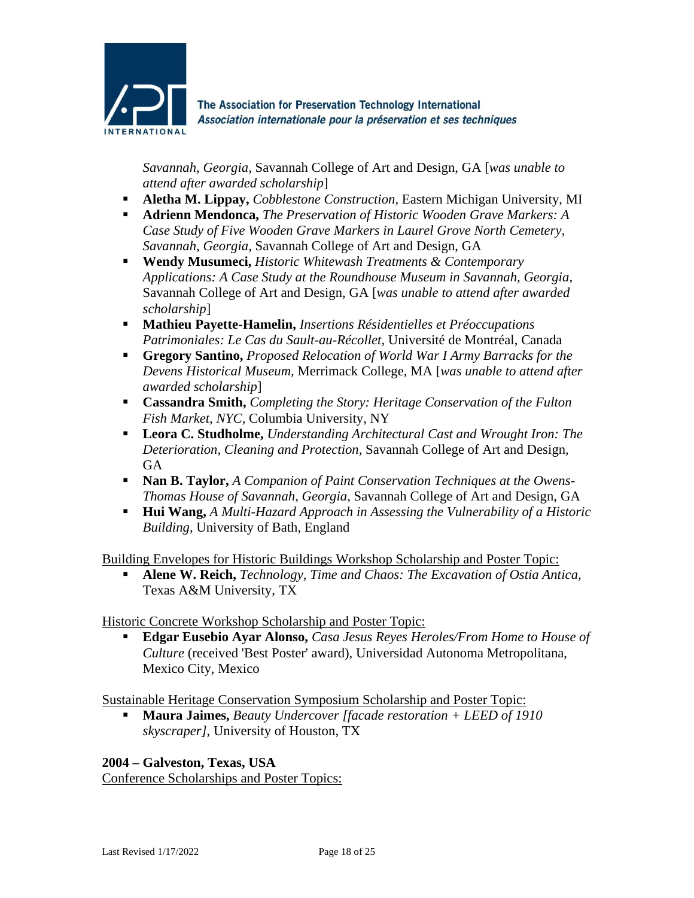

*Savannah, Georgia,* Savannah College of Art and Design, GA [*was unable to attend after awarded scholarship*]

- **Aletha M. Lippay,** *Cobblestone Construction,* Eastern Michigan University, MI
- **Adrienn Mendonca,** *The Preservation of Historic Wooden Grave Markers: A Case Study of Five Wooden Grave Markers in Laurel Grove North Cemetery, Savannah, Georgia,* Savannah College of Art and Design, GA
- **Wendy Musumeci,** *Historic Whitewash Treatments & Contemporary Applications: A Case Study at the Roundhouse Museum in Savannah, Georgia,* Savannah College of Art and Design, GA [*was unable to attend after awarded scholarship*]
- **Mathieu Payette-Hamelin,** *Insertions Résidentielles et Préoccupations Patrimoniales: Le Cas du Sault-au-Récollet,* Université de Montréal, Canada
- **Gregory Santino,** *Proposed Relocation of World War I Army Barracks for the Devens Historical Museum,* Merrimack College, MA [*was unable to attend after awarded scholarship*]
- **Cassandra Smith,** *Completing the Story: Heritage Conservation of the Fulton Fish Market, NYC,* Columbia University, NY
- **Leora C. Studholme,** *Understanding Architectural Cast and Wrought Iron: The Deterioration, Cleaning and Protection,* Savannah College of Art and Design, **GA**
- **Nan B. Taylor,** *A Companion of Paint Conservation Techniques at the Owens-Thomas House of Savannah, Georgia,* Savannah College of Art and Design, GA
- **Hui Wang,** *A Multi-Hazard Approach in Assessing the Vulnerability of a Historic Building,* University of Bath, England

Building Envelopes for Historic Buildings Workshop Scholarship and Poster Topic:

▪ **Alene W. Reich,** *Technology, Time and Chaos: The Excavation of Ostia Antica,* Texas A&M University, TX

Historic Concrete Workshop Scholarship and Poster Topic:

▪ **Edgar Eusebio Ayar Alonso,** *Casa Jesus Reyes Heroles/From Home to House of Culture* (received 'Best Poster' award), Universidad Autonoma Metropolitana, Mexico City, Mexico

Sustainable Heritage Conservation Symposium Scholarship and Poster Topic:

▪ **Maura Jaimes,** *Beauty Undercover [facade restoration + LEED of 1910 skyscraper]*, University of Houston, TX

**2004 – Galveston, Texas, USA**

Conference Scholarships and Poster Topics: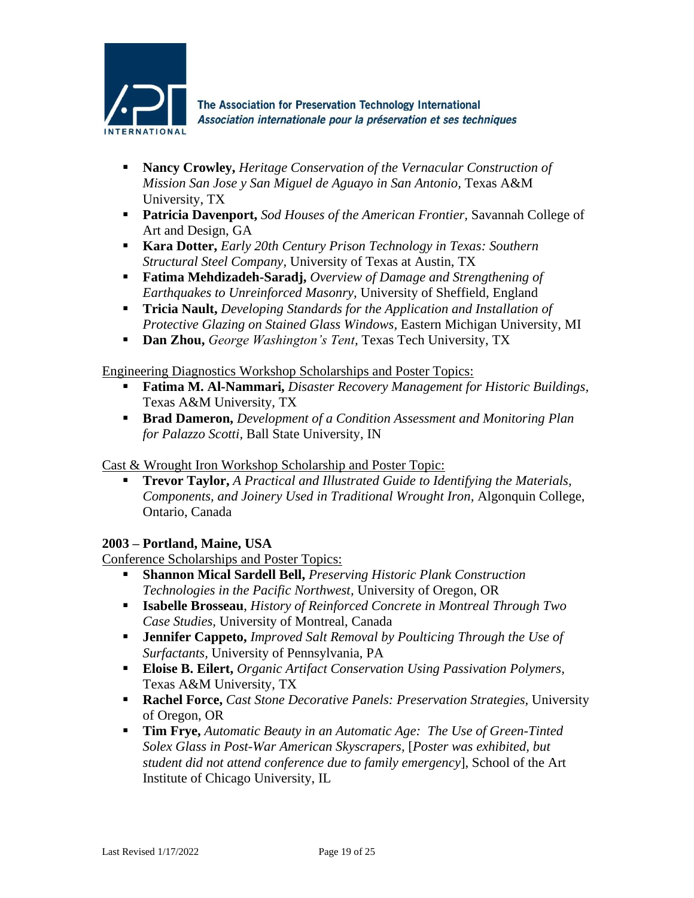

- **Nancy Crowley,** *Heritage Conservation of the Vernacular Construction of Mission San Jose y San Miguel de Aguayo in San Antonio,* Texas A&M University, TX
- **Patricia Davenport,** *Sod Houses of the American Frontier,* Savannah College of Art and Design, GA
- **Kara Dotter,** *Early 20th Century Prison Technology in Texas: Southern Structural Steel Company,* University of Texas at Austin, TX
- **Fatima Mehdizadeh-Saradj,** *Overview of Damage and Strengthening of Earthquakes to Unreinforced Masonry,* University of Sheffield, England
- **Tricia Nault,** *Developing Standards for the Application and Installation of Protective Glazing on Stained Glass Windows,* Eastern Michigan University, MI
- **Dan Zhou,** *George Washington's Tent,* Texas Tech University, TX

Engineering Diagnostics Workshop Scholarships and Poster Topics:

- **Fatima M. Al-Nammari,** *Disaster Recovery Management for Historic Buildings,* Texas A&M University, TX
- **Brad Dameron,** *Development of a Condition Assessment and Monitoring Plan for Palazzo Scotti,* Ball State University, IN

Cast & Wrought Iron Workshop Scholarship and Poster Topic:

▪ **Trevor Taylor,** *A Practical and Illustrated Guide to Identifying the Materials, Components, and Joinery Used in Traditional Wrought Iron,* Algonquin College, Ontario, Canada

# **2003 – Portland, Maine, USA**

Conference Scholarships and Poster Topics:

- **Shannon Mical Sardell Bell,** *Preserving Historic Plank Construction Technologies in the Pacific Northwest,* University of Oregon, OR
- **Isabelle Brosseau**, *History of Reinforced Concrete in Montreal Through Two Case Studies,* University of Montreal, Canada
- **Jennifer Cappeto,** *Improved Salt Removal by Poulticing Through the Use of Surfactants,* University of Pennsylvania, PA
- **Eloise B. Eilert,** *Organic Artifact Conservation Using Passivation Polymers,* Texas A&M University, TX
- **Rachel Force,** *Cast Stone Decorative Panels: Preservation Strategies,* University of Oregon, OR
- **Tim Frye,** *Automatic Beauty in an Automatic Age: The Use of Green-Tinted Solex Glass in Post-War American Skyscrapers,* [*Poster was exhibited, but student did not attend conference due to family emergency*], School of the Art Institute of Chicago University, IL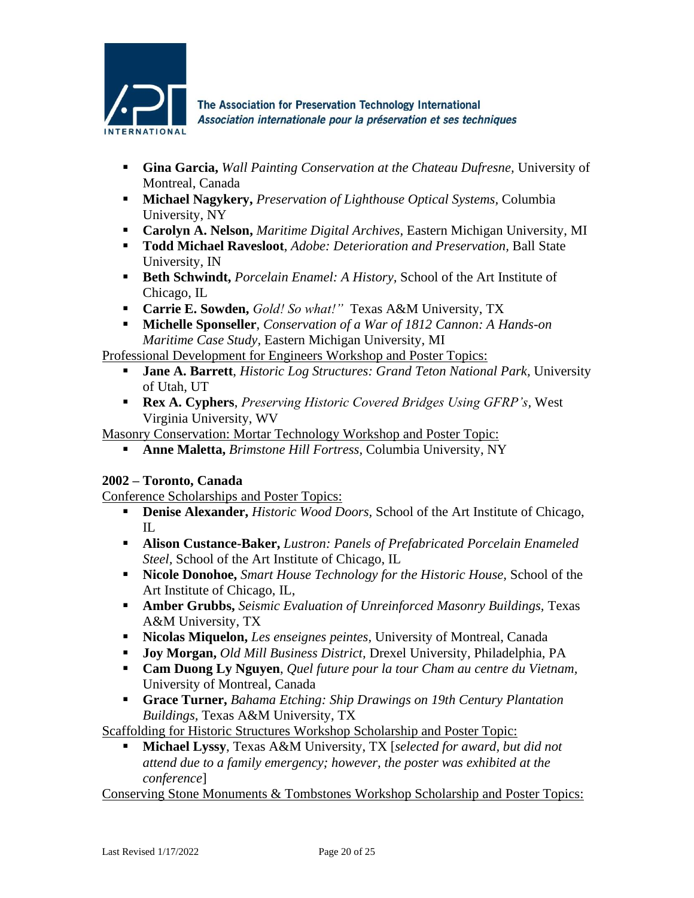

- **Gina Garcia,** *Wall Painting Conservation at the Chateau Dufresne,* University of Montreal, Canada
- **Michael Nagykery,** *Preservation of Lighthouse Optical Systems,* Columbia University, NY
- **Carolyn A. Nelson,** *Maritime Digital Archives,* Eastern Michigan University, MI
- **Todd Michael Ravesloot**, *Adobe: Deterioration and Preservation,* Ball State University, IN
- **Beth Schwindt,** *Porcelain Enamel: A History,* School of the Art Institute of Chicago, IL
- **Carrie E. Sowden,** *Gold! So what!"* Texas A&M University, TX
- **Michelle Sponseller**, *Conservation of a War of 1812 Cannon: A Hands-on Maritime Case Study,* Eastern Michigan University, MI

Professional Development for Engineers Workshop and Poster Topics:

- **Jane A. Barrett**, *Historic Log Structures: Grand Teton National Park,* University of Utah, UT
- **Rex A. Cyphers**, *Preserving Historic Covered Bridges Using GFRP's,* West Virginia University, WV

Masonry Conservation: Mortar Technology Workshop and Poster Topic:

▪ **Anne Maletta,** *Brimstone Hill Fortress,* Columbia University, NY

# **2002 – Toronto, Canada**

Conference Scholarships and Poster Topics:

- **Denise Alexander,** *Historic Wood Doors*, School of the Art Institute of Chicago,  $\Pi$ .
- **Alison Custance-Baker,** *Lustron: Panels of Prefabricated Porcelain Enameled Steel,* School of the Art Institute of Chicago, IL
- **Nicole Donohoe,** *Smart House Technology for the Historic House,* School of the Art Institute of Chicago, IL,
- **Amber Grubbs,** *Seismic Evaluation of Unreinforced Masonry Buildings,* Texas A&M University, TX
- **Nicolas Miquelon,** *Les enseignes peintes,* University of Montreal, Canada
- **Joy Morgan,** *Old Mill Business District,* Drexel University, Philadelphia, PA
- **Cam Duong Ly Nguyen**, *Quel future pour la tour Cham au centre du Vietnam,* University of Montreal, Canada
- **Grace Turner,** *Bahama Etching: Ship Drawings on 19th Century Plantation Buildings,* Texas A&M University, TX

Scaffolding for Historic Structures Workshop Scholarship and Poster Topic:

▪ **Michael Lyssy**, Texas A&M University, TX [*selected for award, but did not attend due to a family emergency; however, the poster was exhibited at the conference*]

Conserving Stone Monuments & Tombstones Workshop Scholarship and Poster Topics: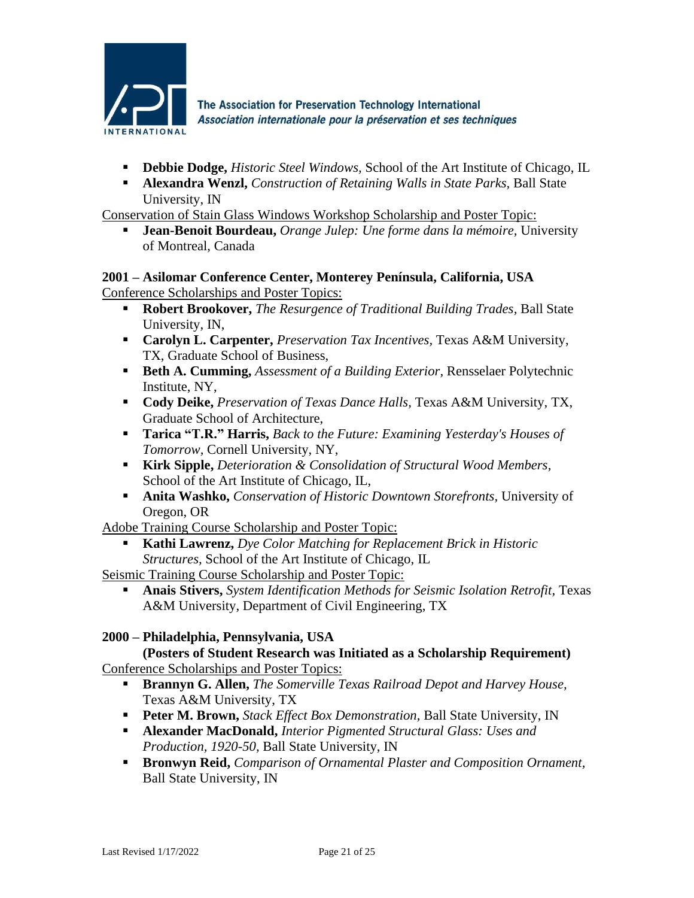

- **Debbie Dodge,** *Historic Steel Windows,* School of the Art Institute of Chicago, IL
- **Alexandra Wenzl,** *Construction of Retaining Walls in State Parks,* Ball State University, IN

Conservation of Stain Glass Windows Workshop Scholarship and Poster Topic:

▪ **Jean-Benoit Bourdeau,** *Orange Julep: Une forme dans la mémoire,* University of Montreal, Canada

# **2001 – Asilomar Conference Center, Monterey Península, California, USA**

Conference Scholarships and Poster Topics:

- **Robert Brookover,** *The Resurgence of Traditional Building Trades,* Ball State University, IN,
- **Carolyn L. Carpenter,** *Preservation Tax Incentives,* Texas A&M University, TX, Graduate School of Business,
- **Beth A. Cumming,** *Assessment of a Building Exterior,* Rensselaer Polytechnic Institute, NY,
- **Cody Deike,** *Preservation of Texas Dance Halls,* Texas A&M University, TX, Graduate School of Architecture,
- **Tarica "T.R." Harris,** *Back to the Future: Examining Yesterday's Houses of Tomorrow,* Cornell University, NY,
- **Kirk Sipple,** *Deterioration & Consolidation of Structural Wood Members,* School of the Art Institute of Chicago, IL,
- **Anita Washko,** *Conservation of Historic Downtown Storefronts,* University of Oregon, OR

Adobe Training Course Scholarship and Poster Topic:

**Kathi Lawrenz,** *Dye Color Matching for Replacement Brick in Historic Structures,* School of the Art Institute of Chicago, IL

Seismic Training Course Scholarship and Poster Topic:

▪ **Anais Stivers,** *System Identification Methods for Seismic Isolation Retrofit,* Texas A&M University, Department of Civil Engineering, TX

# **2000 – Philadelphia, Pennsylvania, USA**

**(Posters of Student Research was Initiated as a Scholarship Requirement)** Conference Scholarships and Poster Topics:

- **Brannyn G. Allen,** *The Somerville Texas Railroad Depot and Harvey House,* Texas A&M University, TX
- **Peter M. Brown,** *Stack Effect Box Demonstration,* Ball State University, IN
- **Alexander MacDonald,** *Interior Pigmented Structural Glass: Uses and Production, 1920-50,* Ball State University, IN
- **Bronwyn Reid,** *Comparison of Ornamental Plaster and Composition Ornament,* Ball State University, IN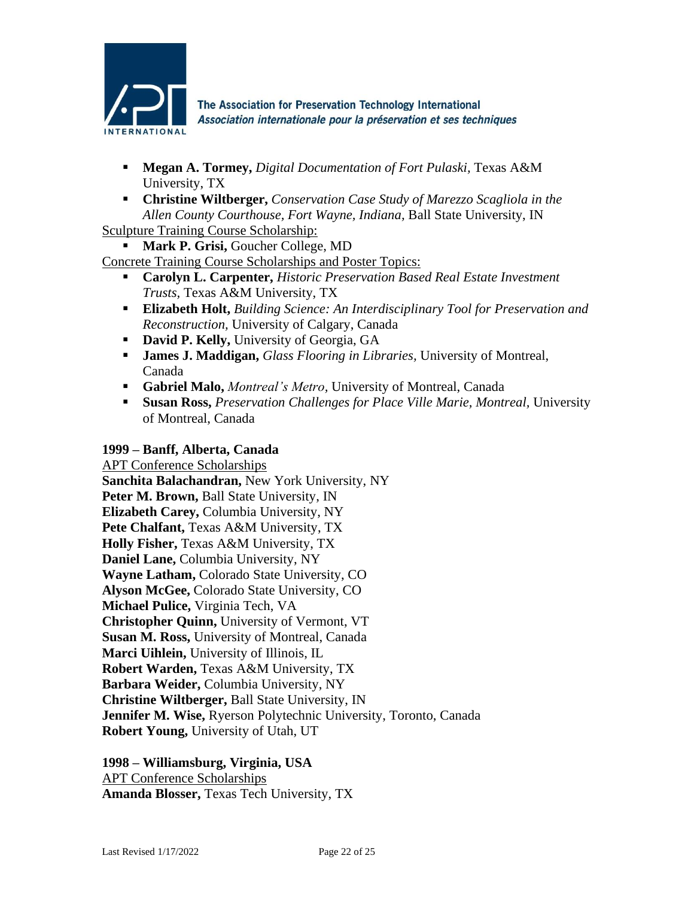

- **Megan A. Tormey,** *Digital Documentation of Fort Pulaski,* Texas A&M University, TX
- **Christine Wiltberger,** *Conservation Case Study of Marezzo Scagliola in the Allen County Courthouse, Fort Wayne, Indiana,* Ball State University, IN

Sculpture Training Course Scholarship:

**Mark P. Grisi, Goucher College, MD** 

Concrete Training Course Scholarships and Poster Topics:

- **Carolyn L. Carpenter,** *Historic Preservation Based Real Estate Investment Trusts,* Texas A&M University, TX
- **Elizabeth Holt,** *Building Science: An Interdisciplinary Tool for Preservation and Reconstruction,* University of Calgary, Canada
- **David P. Kelly, University of Georgia, GA**
- **James J. Maddigan,** *Glass Flooring in Libraries,* University of Montreal, Canada
- **Gabriel Malo,** *Montreal's Metro,* University of Montreal, Canada
- **Susan Ross,** *Preservation Challenges for Place Ville Marie, Montreal,* University of Montreal, Canada

### **1999 – Banff, Alberta, Canada**

APT Conference Scholarships **Sanchita Balachandran,** New York University, NY **Peter M. Brown,** Ball State University, IN **Elizabeth Carey,** Columbia University, NY **Pete Chalfant,** Texas A&M University, TX **Holly Fisher,** Texas A&M University, TX **Daniel Lane,** Columbia University, NY **Wayne Latham,** Colorado State University, CO **Alyson McGee,** Colorado State University, CO **Michael Pulice,** Virginia Tech, VA **Christopher Quinn,** University of Vermont, VT **Susan M. Ross,** University of Montreal, Canada **Marci Uihlein,** University of Illinois, IL **Robert Warden,** Texas A&M University, TX **Barbara Weider,** Columbia University, NY **Christine Wiltberger,** Ball State University, IN **Jennifer M. Wise,** Ryerson Polytechnic University, Toronto, Canada **Robert Young,** University of Utah, UT

**1998 – Williamsburg, Virginia, USA** APT Conference Scholarships **Amanda Blosser,** Texas Tech University, TX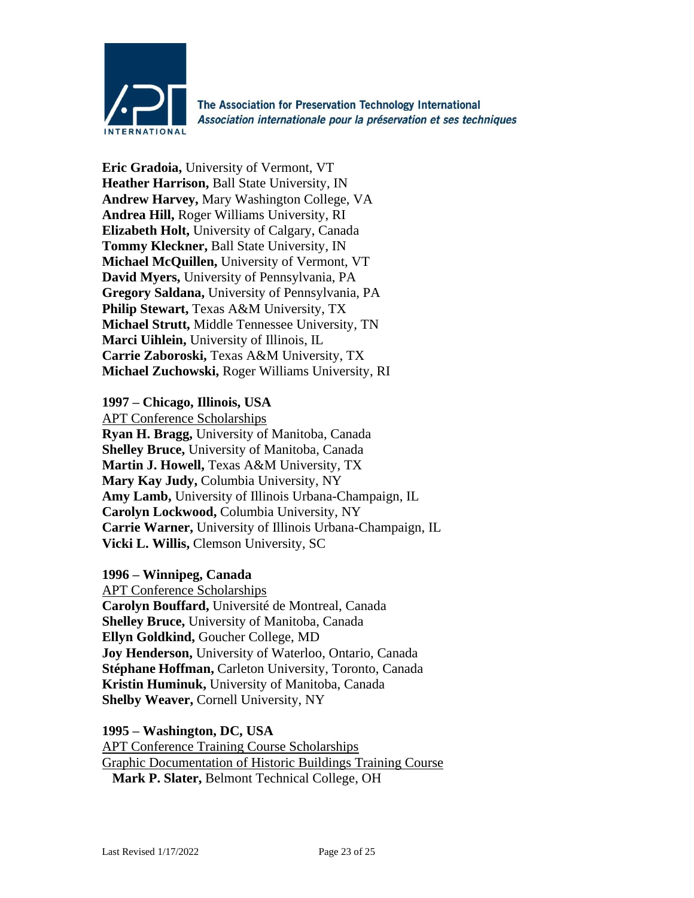

**Eric Gradoia,** University of Vermont, VT **Heather Harrison,** Ball State University, IN **Andrew Harvey,** Mary Washington College, VA **Andrea Hill,** Roger Williams University, RI **Elizabeth Holt,** University of Calgary, Canada **Tommy Kleckner,** Ball State University, IN **Michael McQuillen,** University of Vermont, VT **David Myers,** University of Pennsylvania, PA **Gregory Saldana,** University of Pennsylvania, PA **Philip Stewart,** Texas A&M University, TX **Michael Strutt,** Middle Tennessee University, TN **Marci Uihlein,** University of Illinois, IL **Carrie Zaboroski,** Texas A&M University, TX **Michael Zuchowski,** Roger Williams University, RI

### **1997 – Chicago, Illinois, USA**

APT Conference Scholarships

**Ryan H. Bragg,** University of Manitoba, Canada **Shelley Bruce,** University of Manitoba, Canada **Martin J. Howell,** Texas A&M University, TX **Mary Kay Judy,** Columbia University, NY **Amy Lamb,** University of Illinois Urbana-Champaign, IL **Carolyn Lockwood,** Columbia University, NY **Carrie Warner,** University of Illinois Urbana-Champaign, IL **Vicki L. Willis,** Clemson University, SC

### **1996 – Winnipeg, Canada**

APT Conference Scholarships **Carolyn Bouffard,** Université de Montreal, Canada **Shelley Bruce,** University of Manitoba, Canada **Ellyn Goldkind,** Goucher College, MD **Joy Henderson,** University of Waterloo, Ontario, Canada **Stéphane Hoffman,** Carleton University, Toronto, Canada **Kristin Huminuk,** University of Manitoba, Canada **Shelby Weaver,** Cornell University, NY

**1995 – Washington, DC, USA**

APT Conference Training Course Scholarships Graphic Documentation of Historic Buildings Training Course **Mark P. Slater,** Belmont Technical College, OH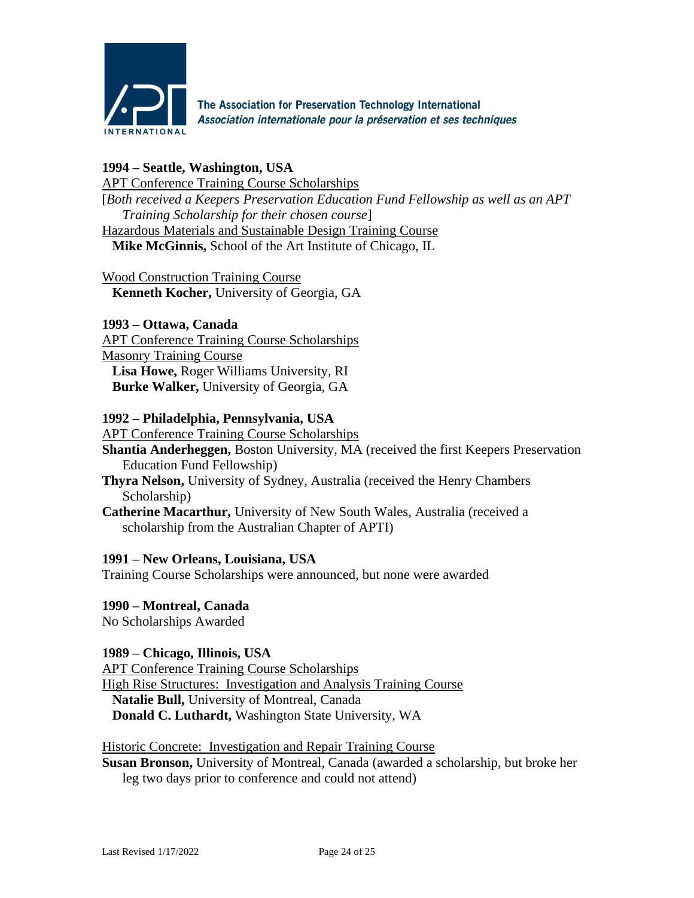

### **1994 – Seattle, Washington, USA**

APT Conference Training Course Scholarships [*Both received a Keepers Preservation Education Fund Fellowship as well as an APT Training Scholarship for their chosen course*] Hazardous Materials and Sustainable Design Training Course **Mike McGinnis,** School of the Art Institute of Chicago, IL

Wood Construction Training Course **Kenneth Kocher,** University of Georgia, GA

**1993 – Ottawa, Canada** APT Conference Training Course Scholarships Masonry Training Course **Lisa Howe,** Roger Williams University, RI **Burke Walker,** University of Georgia, GA

### **1992 – Philadelphia, Pennsylvania, USA**

APT Conference Training Course Scholarships

**Shantia Anderheggen,** Boston University, MA (received the first Keepers Preservation Education Fund Fellowship)

- **Thyra Nelson,** University of Sydney, Australia (received the Henry Chambers Scholarship)
- **Catherine Macarthur,** University of New South Wales, Australia (received a scholarship from the Australian Chapter of APTI)

### **1991 – New Orleans, Louisiana, USA**

Training Course Scholarships were announced, but none were awarded

**1990 – Montreal, Canada**

No Scholarships Awarded

### **1989 – Chicago, Illinois, USA**

APT Conference Training Course Scholarships High Rise Structures: Investigation and Analysis Training Course **Natalie Bull,** University of Montreal, Canada **Donald C. Luthardt,** Washington State University, WA

### Historic Concrete: Investigation and Repair Training Course

**Susan Bronson,** University of Montreal, Canada (awarded a scholarship, but broke her leg two days prior to conference and could not attend)